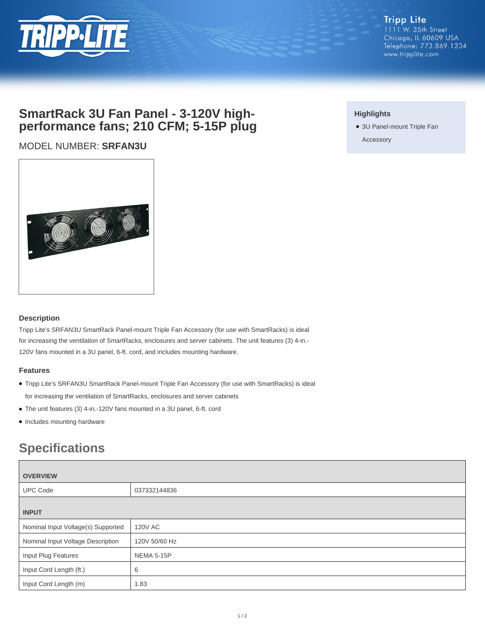

# **SmartRack 3U Fan Panel - 3-120V highperformance fans; 210 CFM; 5-15P plug**

MODEL NUMBER: **SRFAN3U**



### **Description**

Tripp Lite's SRFAN3U SmartRack Panel-mount Triple Fan Accessory (for use with SmartRacks) is ideal for increasing the ventilation of SmartRacks, enclosures and server cabinets. The unit features (3) 4-in.- 120V fans mounted in a 3U panel, 6-ft. cord, and includes mounting hardware.

#### **Features**

- Tripp Lite's SRFAN3U SmartRack Panel-mount Triple Fan Accessory (for use with SmartRacks) is ideal for increasing the ventilation of SmartRacks, enclosures and server cabinets
- The unit features (3) 4-in.-120V fans mounted in a 3U panel, 6-ft. cord
- Includes mounting hardware

# **Specifications**

| <b>OVERVIEW</b>                    |                |
|------------------------------------|----------------|
| <b>UPC Code</b>                    | 037332144836   |
| <b>INPUT</b>                       |                |
| Nominal Input Voltage(s) Supported | <b>120V AC</b> |
| Nominal Input Voltage Description  | 120V 50/60 Hz  |
| Input Plug Features                | NEMA 5-15P     |
| Input Cord Length (ft.)            | 6              |
| Input Cord Length (m)              | 1.83           |

## **Highlights**

● 3U Panel-mount Triple Fan

Accessory